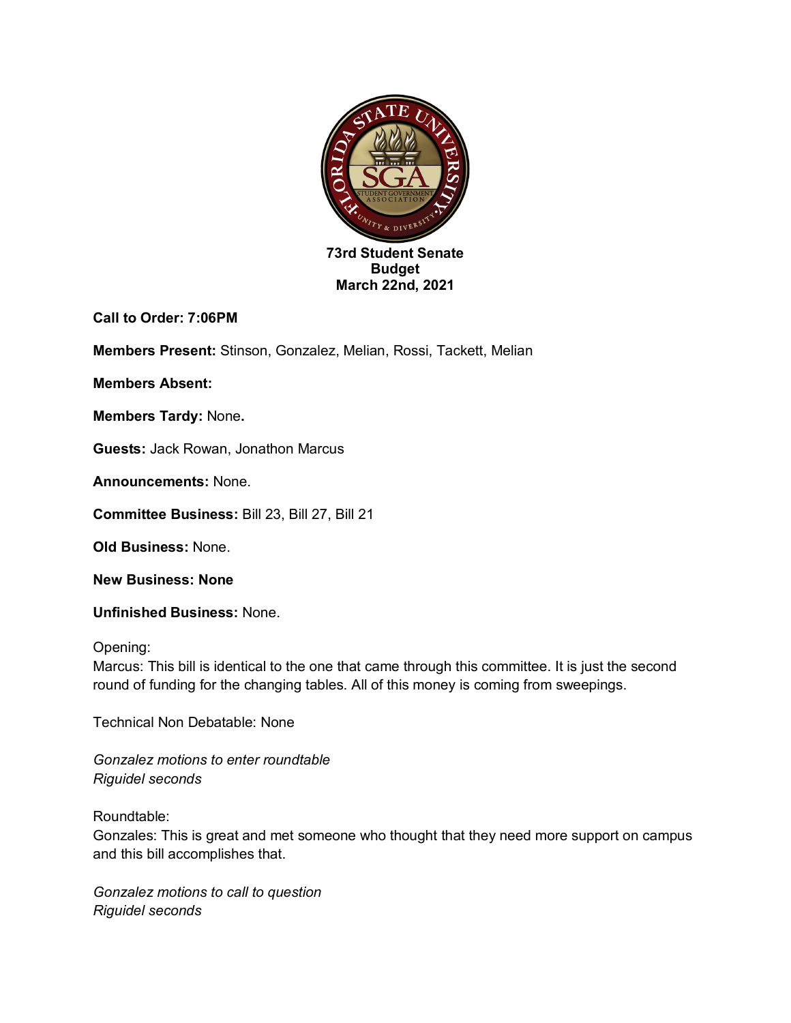

**Call to Order: 7:06PM**

**Members Present:** Stinson, Gonzalez, Melian, Rossi, Tackett, Melian

**Members Absent:** 

**Members Tardy:** None**.**

**Guests:** Jack Rowan, Jonathon Marcus

**Announcements:** None.

**Committee Business:** Bill 23, Bill 27, Bill 21

**Old Business:** None.

**New Business: None**

**Unfinished Business:** None.

Opening:

Marcus: This bill is identical to the one that came through this committee. It is just the second round of funding for the changing tables. All of this money is coming from sweepings.

Technical Non Debatable: None

*Gonzalez motions to enter roundtable Riguidel seconds*

Roundtable:

Gonzales: This is great and met someone who thought that they need more support on campus and this bill accomplishes that.

*Gonzalez motions to call to question Riguidel seconds*